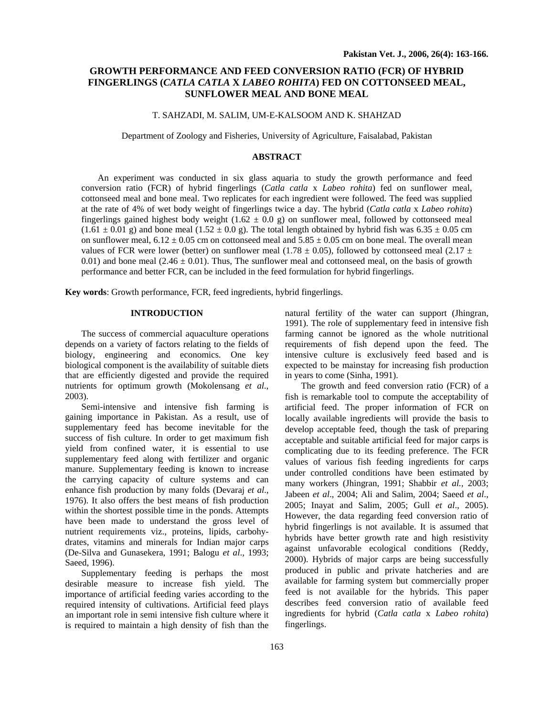# **GROWTH PERFORMANCE AND FEED CONVERSION RATIO (FCR) OF HYBRID FINGERLINGS (***CATLA CATLA* **X** *LABEO ROHITA***) FED ON COTTONSEED MEAL, SUNFLOWER MEAL AND BONE MEAL**

## T. SAHZADI, M. SALIM, UM-E-KALSOOM AND K. SHAHZAD

Department of Zoology and Fisheries, University of Agriculture, Faisalabad, Pakistan

## **ABSTRACT**

An experiment was conducted in six glass aquaria to study the growth performance and feed conversion ratio (FCR) of hybrid fingerlings (*Catla catla* x *Labeo rohita*) fed on sunflower meal, cottonseed meal and bone meal. Two replicates for each ingredient were followed. The feed was supplied at the rate of 4% of wet body weight of fingerlings twice a day. The hybrid (*Catla catla* x *Labeo rohita*) fingerlings gained highest body weight  $(1.62 \pm 0.0 \text{ g})$  on sunflower meal, followed by cottonseed meal  $(1.61 \pm 0.01 \text{ g})$  and bone meal  $(1.52 \pm 0.0 \text{ g})$ . The total length obtained by hybrid fish was 6.35  $\pm$  0.05 cm on sunflower meal,  $6.12 \pm 0.05$  cm on cottonseed meal and  $5.85 \pm 0.05$  cm on bone meal. The overall mean values of FCR were lower (better) on sunflower meal (1.78  $\pm$  0.05), followed by cottonseed meal (2.17  $\pm$ 0.01) and bone meal (2.46  $\pm$  0.01). Thus, The sunflower meal and cottonseed meal, on the basis of growth performance and better FCR, can be included in the feed formulation for hybrid fingerlings.

**Key words**: Growth performance, FCR, feed ingredients, hybrid fingerlings.

## **INTRODUCTION**

The success of commercial aquaculture operations depends on a variety of factors relating to the fields of biology, engineering and economics. One key biological component is the availability of suitable diets that are efficiently digested and provide the required nutrients for optimum growth (Mokolensang *et al*., 2003).

Semi-intensive and intensive fish farming is gaining importance in Pakistan. As a result, use of supplementary feed has become inevitable for the success of fish culture. In order to get maximum fish yield from confined water, it is essential to use supplementary feed along with fertilizer and organic manure. Supplementary feeding is known to increase the carrying capacity of culture systems and can enhance fish production by many folds (Devaraj *et al*., 1976). It also offers the best means of fish production within the shortest possible time in the ponds. Attempts have been made to understand the gross level of nutrient requirements viz., proteins, lipids, carbohydrates, vitamins and minerals for Indian major carps (De-Silva and Gunasekera, 1991; Balogu *et al*., 1993; Saeed, 1996).

 Supplementary feeding is perhaps the most desirable measure to increase fish yield. The importance of artificial feeding varies according to the required intensity of cultivations. Artificial feed plays an important role in semi intensive fish culture where it is required to maintain a high density of fish than the

natural fertility of the water can support (Jhingran, 1991). The role of supplementary feed in intensive fish farming cannot be ignored as the whole nutritional requirements of fish depend upon the feed. The intensive culture is exclusively feed based and is expected to be mainstay for increasing fish production in years to come (Sinha, 1991).

 The growth and feed conversion ratio (FCR) of a fish is remarkable tool to compute the acceptability of artificial feed. The proper information of FCR on locally available ingredients will provide the basis to develop acceptable feed, though the task of preparing acceptable and suitable artificial feed for major carps is complicating due to its feeding preference. The FCR values of various fish feeding ingredients for carps under controlled conditions have been estimated by many workers (Jhingran, 1991; Shabbir *et al.,* 2003; Jabeen *et al*., 2004; Ali and Salim, 2004; Saeed *et al*., 2005; Inayat and Salim, 2005; Gull *et al*., 2005). However, the data regarding feed conversion ratio of hybrid fingerlings is not available. It is assumed that hybrids have better growth rate and high resistivity against unfavorable ecological conditions (Reddy, 2000). Hybrids of major carps are being successfully produced in public and private hatcheries and are available for farming system but commercially proper feed is not available for the hybrids. This paper describes feed conversion ratio of available feed ingredients for hybrid (*Catla catla* x *Labeo rohita*) fingerlings.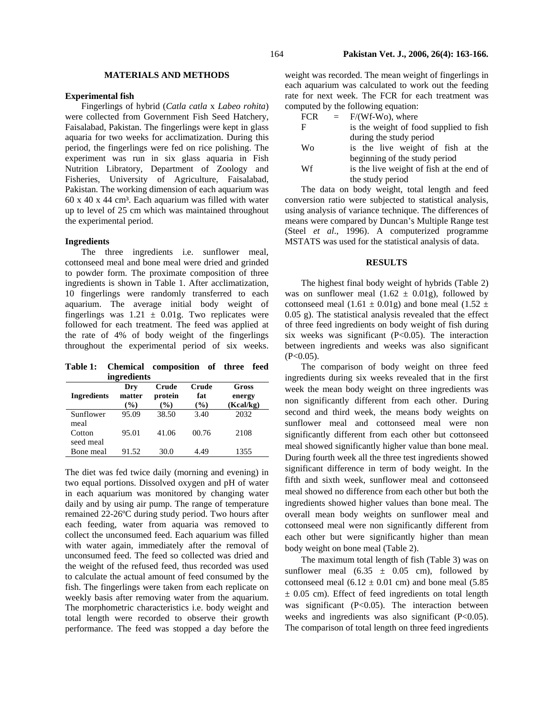## **MATERIALS AND METHODS**

#### **Experimental fish**

Fingerlings of hybrid (*Catla catla* x *Labeo rohita*) were collected from Government Fish Seed Hatchery, Faisalabad, Pakistan. The fingerlings were kept in glass aquaria for two weeks for acclimatization. During this period, the fingerlings were fed on rice polishing. The experiment was run in six glass aquaria in Fish Nutrition Libratory, Department of Zoology and Fisheries, University of Agriculture, Faisalabad, Pakistan. The working dimension of each aquarium was 60 x 40 x 44 cm³. Each aquarium was filled with water up to level of 25 cm which was maintained throughout the experimental period.

#### **Ingredients**

The three ingredients i.e. sunflower meal, cottonseed meal and bone meal were dried and grinded to powder form. The proximate composition of three ingredients is shown in Table 1. After acclimatization, 10 fingerlings were randomly transferred to each aquarium. The average initial body weight of fingerlings was  $1.21 \pm 0.01$ g. Two replicates were followed for each treatment. The feed was applied at the rate of 4% of body weight of the fingerlings throughout the experimental period of six weeks.

**Table 1: Chemical composition of three feed ingredients** 

| <b>Ingredients</b>  | Dry<br>matter<br>$\%$ | Crude<br>protein<br>$\mathcal{O}(0)$ | Crude<br>fat<br>(%) | Gross<br>energy<br>(Kcal/kg) |
|---------------------|-----------------------|--------------------------------------|---------------------|------------------------------|
| Sunflower<br>meal   | 95.09                 | 38.50                                | 3.40                | 2032                         |
| Cotton<br>seed meal | 95.01                 | 41.06                                | 00.76               | 2108                         |
| Bone meal           | 91.52                 | 30.0                                 | 4.49                | 1355                         |

The diet was fed twice daily (morning and evening) in two equal portions. Dissolved oxygen and pH of water in each aquarium was monitored by changing water daily and by using air pump. The range of temperature remained 22-26ºC during study period. Two hours after each feeding, water from aquaria was removed to collect the unconsumed feed. Each aquarium was filled with water again, immediately after the removal of unconsumed feed. The feed so collected was dried and the weight of the refused feed, thus recorded was used to calculate the actual amount of feed consumed by the fish. The fingerlings were taken from each replicate on weekly basis after removing water from the aquarium. The morphometric characteristics i.e. body weight and total length were recorded to observe their growth performance. The feed was stopped a day before the

weight was recorded. The mean weight of fingerlings in each aquarium was calculated to work out the feeding rate for next week. The FCR for each treatment was computed by the following equation:

- $FCR = F/(Wf-Wo)$ , where
- F is the weight of food supplied to fish during the study period
- Wo is the live weight of fish at the beginning of the study period
- W<sub>f</sub> is the live weight of fish at the end of the study period

The data on body weight, total length and feed conversion ratio were subjected to statistical analysis, using analysis of variance technique. The differences of means were compared by Duncan's Multiple Range test (Steel *et al*., 1996). A computerized programme MSTATS was used for the statistical analysis of data.

#### **RESULTS**

 The highest final body weight of hybrids (Table 2) was on sunflower meal  $(1.62 \pm 0.01g)$ , followed by cottonseed meal (1.61  $\pm$  0.01g) and bone meal (1.52  $\pm$ 0.05 g). The statistical analysis revealed that the effect of three feed ingredients on body weight of fish during six weeks was significant (P<0.05). The interaction between ingredients and weeks was also significant  $(P<0.05)$ .

The comparison of body weight on three feed ingredients during six weeks revealed that in the first week the mean body weight on three ingredients was non significantly different from each other. During second and third week, the means body weights on sunflower meal and cottonseed meal were non significantly different from each other but cottonseed meal showed significantly higher value than bone meal. During fourth week all the three test ingredients showed significant difference in term of body weight. In the fifth and sixth week, sunflower meal and cottonseed meal showed no difference from each other but both the ingredients showed higher values than bone meal. The overall mean body weights on sunflower meal and cottonseed meal were non significantly different from each other but were significantly higher than mean body weight on bone meal (Table 2).

The maximum total length of fish (Table 3) was on sunflower meal  $(6.35 \pm 0.05 \text{ cm})$ , followed by cottonseed meal  $(6.12 \pm 0.01 \text{ cm})$  and bone meal  $(5.85$  $\pm$  0.05 cm). Effect of feed ingredients on total length was significant (P<0.05). The interaction between weeks and ingredients was also significant (P<0.05). The comparison of total length on three feed ingredients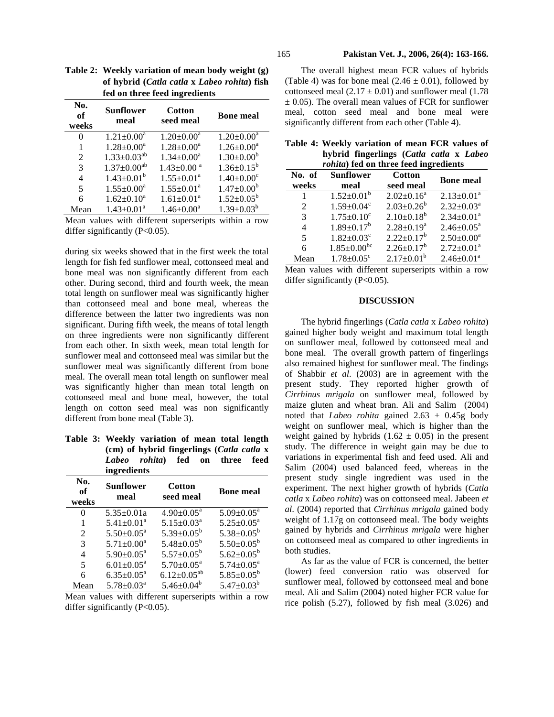| No.<br>оf<br>weeks | Sunflower<br>meal             | Cotton<br>seed meal          | <b>Bone meal</b>             |
|--------------------|-------------------------------|------------------------------|------------------------------|
| 0                  | $1.21 \pm 0.00^a$             | $1.20 \pm 0.00^a$            | $1.20 \pm 0.00^a$            |
|                    | $1.28 \pm 0.00^a$             | $1.28 \pm 0.00^a$            | $1.26 \pm 0.00^a$            |
| $\mathfrak{D}$     | $1.33 \pm 0.03^{ab}$          | $1.34 \pm 0.00^a$            | $1.30 \pm 0.00^b$            |
| 3                  | $1.37 \pm 0.00$ <sup>ab</sup> | $1.43 \pm 0.00$ <sup>a</sup> | $1.36 \pm 0.15^b$            |
| 4                  | $1.43 \pm 0.01^b$             | $1.55 \pm 0.01^{\text{a}}$   | $1.40 \pm 0.00$ <sup>c</sup> |
| 5                  | $1.55 \pm 0.00^a$             | $1.55 \pm 0.01^{\text{a}}$   | $1.47 \pm 0.00^b$            |
| 6                  | $1.62 \pm 0.10^a$             | $1.61 \pm 0.01^a$            | $1.52 \pm 0.05^b$            |
| Mean               | $1.43 \pm 0.01^a$             | $1.46 \pm 0.00^a$            | $1.39 \pm 0.03^b$            |

**Table 2: Weekly variation of mean body weight (g) of hybrid (***Catla catla* **x** *Labeo rohita***) fish fed on three feed ingredients** 

Mean values with different superseripts within a row differ significantly  $(P<0.05)$ .

during six weeks showed that in the first week the total length for fish fed sunflower meal, cottonseed meal and bone meal was non significantly different from each other. During second, third and fourth week, the mean total length on sunflower meal was significantly higher than cottonseed meal and bone meal, whereas the difference between the latter two ingredients was non significant. During fifth week, the means of total length on three ingredients were non significantly different from each other. In sixth week, mean total length for sunflower meal and cottonseed meal was similar but the sunflower meal was significantly different from bone meal. The overall mean total length on sunflower meal was significantly higher than mean total length on cottonseed meal and bone meal, however, the total length on cotton seed meal was non significantly different from bone meal (Table 3).

**Table 3: Weekly variation of mean total length (cm) of hybrid fingerlings (***Catla catla* **x**  *Labeo rohita***) fed on three feed ingredients** 

| No.<br>of<br>weeks | Sunflower<br>meal          | <b>Cotton</b><br>seed meal | <b>Bone meal</b>           |
|--------------------|----------------------------|----------------------------|----------------------------|
| 0                  | $5.35 \pm 0.01a$           | $4.90 \pm 0.05^{\text{a}}$ | $5.09 \pm 0.05^{\text{a}}$ |
| 1                  | $5.41 \pm 0.01^a$          | $5.15 \pm 0.03^a$          | $5.25 \pm 0.05^{\text{a}}$ |
| $\mathfrak{D}$     | $5.50 \pm 0.05^{\circ}$    | $5.39 \pm 0.05^b$          | $5.38 \pm 0.05^b$          |
| 3                  | $5.71 \pm 0.00^a$          | $5.48 \pm 0.05^{\rm b}$    | $5.50 \pm 0.05^{\rm b}$    |
| 4                  | $5.90 \pm 0.05^{\text{a}}$ | $5.57 \pm 0.05^b$          | $5.62 \pm 0.05^b$          |
| 5                  | $6.01 \pm 0.05^{\text{a}}$ | $5.70 \pm 0.05^{\text{a}}$ | $5.74 \pm 0.05^{\text{a}}$ |
| 6                  | $6.35 \pm 0.05^{\text{a}}$ | $6.12 \pm 0.05^{ab}$       | $5.85 \pm 0.05^b$          |
| Mean               | $5.78 \pm 0.03^{\text{a}}$ | $5.46 \pm 0.04^b$          | $5.47 \pm 0.03^b$          |

Mean values with different superseripts within a row differ significantly  $(P<0.05)$ .

The overall highest mean FCR values of hybrids (Table 4) was for bone meal  $(2.46 \pm 0.01)$ , followed by cottonseed meal  $(2.17 \pm 0.01)$  and sunflower meal  $(1.78$  $\pm$  0.05). The overall mean values of FCR for sunflower meal, cotton seed meal and bone meal were significantly different from each other (Table 4).

|  | Table 4: Weekly variation of mean FCR values of |  |  |  |
|--|-------------------------------------------------|--|--|--|
|  | hybrid fingerlings (Catla catla x Labeo         |  |  |  |
|  | <i>rohita</i> ) fed on three feed ingredients   |  |  |  |

| <i>roma r</i> ica on un ce reca mgreulems |                              |                   |                            |  |
|-------------------------------------------|------------------------------|-------------------|----------------------------|--|
| No. of                                    | <b>Sunflower</b>             | <b>Cotton</b>     | <b>Bone meal</b>           |  |
| weeks                                     | meal                         | seed meal         |                            |  |
| 1                                         | $1.52 \pm 0.01^b$            | $2.02 \pm 0.16^a$ | $2.13 \pm 0.01^a$          |  |
| 2                                         | $1.59 \pm 0.04$ <sup>c</sup> | $2.03 \pm 0.26^b$ | $2.32 \pm 0.03^a$          |  |
| 3                                         | $1.75 \pm 0.10^c$            | $2.10\pm0.18^{b}$ | $2.34 \pm 0.01^a$          |  |
| $\overline{4}$                            | $1.89 \pm 0.17^b$            | $2.28 \pm 0.19^a$ | $2.46 \pm 0.05^{\text{a}}$ |  |
| 5                                         | $1.82 \pm 0.03$ <sup>c</sup> | $2.22 \pm 0.17^b$ | $2.50 \pm 0.00^a$          |  |
| 6                                         | $1.85 \pm 0.00^{\rm bc}$     | $2.26 \pm 0.17^b$ | $2.72 \pm 0.01^a$          |  |
| Mean                                      | $1.78 \pm 0.05^{\circ}$      | $2.17 \pm 0.01^b$ | $2.46 \pm 0.01^a$          |  |

Mean values with different superseripts within a row differ significantly  $(P<0.05)$ .

#### **DISCUSSION**

The hybrid fingerlings (*Catla catla* x *Labeo rohita*) gained higher body weight and maximum total length on sunflower meal, followed by cottonseed meal and bone meal. The overall growth pattern of fingerlings also remained highest for sunflower meal. The findings of Shabbir *et al*. (2003) are in agreement with the present study. They reported higher growth of *Cirrhinus mrigala* on sunflower meal, followed by maize gluten and wheat bran. Ali and Salim (2004) noted that *Labeo rohita* gained 2.63 ± 0.45g body weight on sunflower meal, which is higher than the weight gained by hybrids  $(1.62 \pm 0.05)$  in the present study. The difference in weight gain may be due to variations in experimental fish and feed used. Ali and Salim (2004) used balanced feed, whereas in the present study single ingredient was used in the experiment. The next higher growth of hybrids (*Catla catla* x *Labeo rohita*) was on cottonseed meal. Jabeen *et al*. (2004) reported that *Cirrhinus mrigala* gained body weight of 1.17g on cottonseed meal. The body weights gained by hybrids and *Cirrhinus mrigala* were higher on cottonseed meal as compared to other ingredients in both studies.

As far as the value of FCR is concerned, the better (lower) feed conversion ratio was observed for sunflower meal, followed by cottonseed meal and bone meal. Ali and Salim (2004) noted higher FCR value for rice polish (5.27), followed by fish meal (3.026) and